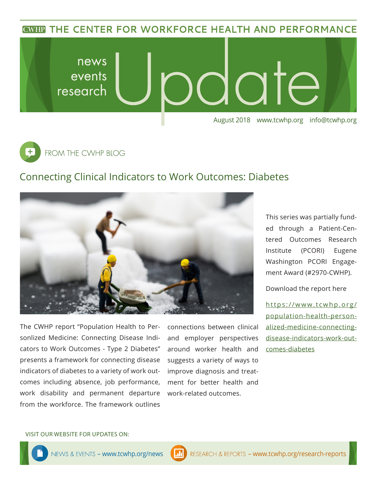**CWHP THE CENTER FOR WORKFORCE HEALTH AND PERFORMANCE** 





## Connecting Clinical Indicators to Work Outcomes: Diabetes



The CWHP report "Population Health to Personlized Medicine: Connecting Disease Indicators to Work Outcomes - Type 2 Diabetes" presents a framework for connecting disease indicators of diabetes to a variety of work outcomes including absence, job performance, work disability and permanent departure from the workforce. The framework outlines

connections between clinical and employer perspectives around worker health and suggests a variety of ways to improve diagnosis and treatment for better health and work-related outcomes.

This series was partially funded through a Patient-Centered Outcomes Research Institute (PCORI) Eugene Washington PCORI Engagement Award (#2970-CWHP).

Download the report here

[https://www.tcwhp.org/](https://www.tcwhp.org/population-health-personalized-medicine-connecting-disease-indicators-work-outcomes-diabetes) [population-health-person](https://www.tcwhp.org/population-health-personalized-medicine-connecting-disease-indicators-work-outcomes-diabetes)[alized-medicine-connecting](https://www.tcwhp.org/population-health-personalized-medicine-connecting-disease-indicators-work-outcomes-diabetes)[disease-indicators-work-out](https://www.tcwhp.org/population-health-personalized-medicine-connecting-disease-indicators-work-outcomes-diabetes)[comes-diabetes](https://www.tcwhp.org/population-health-personalized-medicine-connecting-disease-indicators-work-outcomes-diabetes)

### VISIT OUR WEBSITE FOR UPDATES ON: